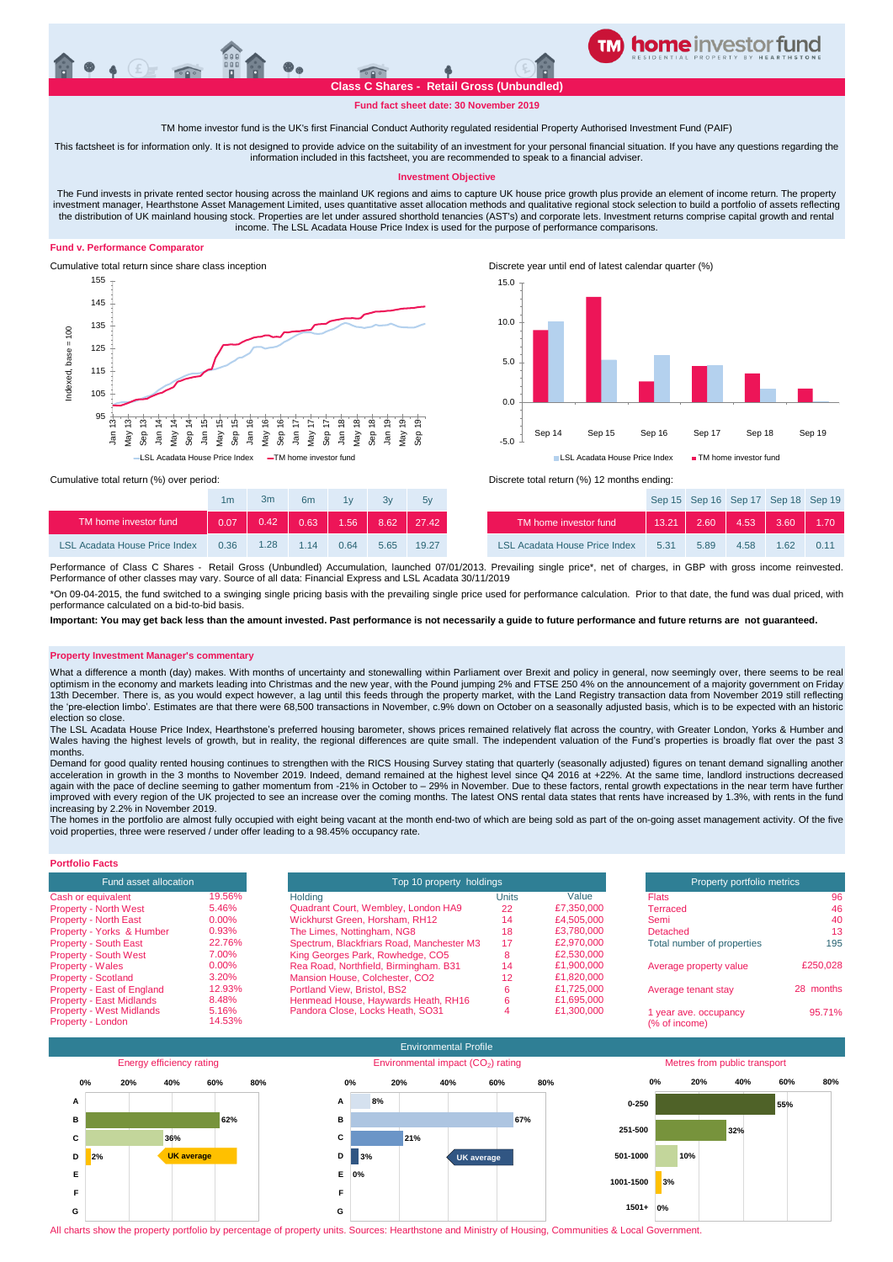## **Class C Shares - Retail Gross (Unbundled)**

**TM home investor feeder fund**

**Fund fact sheet date: 30 November 2019**

#### TM home investor fund is the UK's first Financial Conduct Authority regulated residential Property Authorised Investment Fund (PAIF)

This factsheet is for information only. It is not designed to provide advice on the suitability of an investment for your personal financial situation. If you have any questions regarding the information included in this factsheet, you are recommended to speak to a financial adviser.

#### **Investment Objective**

The Fund invests in private rented sector housing across the mainland UK regions and aims to capture UK house price growth plus provide an element of income return. The property investment manager, Hearthstone Asset Management Limited, uses quantitative asset allocation methods and qualitative regional stock selection to build a portfolio of assets reflecting the distribution of UK mainland housing stock. Properties are let under assured shorthold tenancies (AST's) and corporate lets. Investment returns comprise capital growth and rental<br>income. The LSL Acadata House Price Inde

#### **Fund v. Performance Comparator**





Cumulative total return since share class inception Discrete year until end of latest calendar quarter (%)



Cumulative total return (%) over period: <br>
Cumulative total return (%) over period: <br>
Discrete total return (%) 12 months ending:

|                               | 1m   | 3m   | 6 <sub>m</sub> | 1v   | 3v   | 5v    |                                      |       | Sep 15 Sep 16 Sep 17 Sep 18 Sep 1 |      |      |         |
|-------------------------------|------|------|----------------|------|------|-------|--------------------------------------|-------|-----------------------------------|------|------|---------|
| TM home investor fund         | 0.07 | 0.42 | 0.63           | 1.56 | 8.62 | 27.42 | TM home investor fund                | 13.21 | 2.60                              | 4.53 | 3.60 | $-1.70$ |
| LSL Acadata House Price Index | 0.36 | 1.28 | 1 14           | 0.64 | 5.65 | 19.27 | <b>LSL Acadata House Price Index</b> | 5.31  | 5.89                              | 4.58 | 1.62 | 0.11    |



Performance of Class C Shares - Retail Gross (Unbundled) Accumulation, launched 07/01/2013. Prevailing single price\*, net of charges, in GBP with gross income reinvested Performance of other classes may vary. Source of all data: Financial Express and LSL Acadata 30/11/2019

\*On 09-04-2015, the fund switched to a swinging single pricing basis with the prevailing single price used for performance calculation. Prior to that date, the fund was dual priced, with performance calculated on a bid-to-bid basis.

**Important: You may get back less than the amount invested. Past performance is not necessarily a guide to future performance and future returns are not guaranteed.** 

#### **Property Investment Manager's commentary**

What a difference a month (day) makes. With months of uncertainty and stonewalling within Parliament over Brexit and policy in general, now seemingly over, there seems to be real optimism in the economy and markets leading into Christmas and the new year, with the Pound jumping 2% and FTSE 250 4% on the announcement of a majority government on Friday<br>13th December. There is, as you would expect how the 'pre-election limbo'. Estimates are that there were 68,500 transactions in November, c.9% down on October on a seasonally adjusted basis, which is to be expected with an historic election so close.

The LSL Acadata House Price Index, Hearthstone's preferred housing barometer, shows prices remained relatively flat across the country, with Greater London, Yorks & Humber and Wales having the highest levels of growth, but in reality, the regional differences are quite small. The independent valuation of the Fund's properties is broadly flat over the past 3 months.

Demand for good quality rented housing continues to strengthen with the RICS Housing Survey stating that quarterly (seasonally adjusted) figures on tenant demand signalling another acceleration in growth in the 3 months to November 2019. Indeed, demand remained at the highest level since Q4 2016 at +22%. At the same time, landlord instructions decreased again with the pace of decline seeming to gather momentum from -21% in October to - 29% in November. Due to these factors, rental growth expectations in the near term have further improved with every region of the UK projected to see an increase over the coming months. The latest ONS rental data states that rents have increased by 1.3%, with rents in the fund increasing by 2.2% in November 2019.

The homes in the portfolio are almost fully occupied with eight being vacant at the month end-two of which are being sold as part of the on-going asset management activity. Of the five void properties, three were reserved / under offer leading to a 98.45% occupancy rate.

#### **Portfolio Facts**

| <b>Fund asset allocation</b>    |        |
|---------------------------------|--------|
| Cash or equivalent              | 19.56% |
| <b>Property - North West</b>    | 5.46%  |
| <b>Property - North East</b>    | 0.00%  |
| Property - Yorks & Humber       | 0.93%  |
| <b>Property - South East</b>    | 22.76% |
| <b>Property - South West</b>    | 7.00%  |
| <b>Property - Wales</b>         | 0.00%  |
| <b>Property - Scotland</b>      | 3.20%  |
| Property - East of England      | 12.93% |
| <b>Property - East Midlands</b> | 8.48%  |
| <b>Property - West Midlands</b> | 5.16%  |
| Property - London               | 14.53% |

| Fund asset allocation                                |                 | Top 10 property holdings                  |              | Property portfolio metrics |                                        |           |
|------------------------------------------------------|-----------------|-------------------------------------------|--------------|----------------------------|----------------------------------------|-----------|
| Cash or equivalent                                   | 19.56%          | Holding                                   | <b>Units</b> | Value                      | <b>Flats</b>                           | 96        |
| <b>Property - North West</b>                         | 5.46%           | Quadrant Court, Wembley, London HA9       | 22           | £7,350,000                 | Terraced                               | 46        |
| <b>Property - North East</b>                         | $0.00\%$        | Wickhurst Green, Horsham, RH12            | 14           | £4,505,000                 | Semi                                   | 40        |
| Property - Yorks & Humber                            | 0.93%           | The Limes, Nottingham, NG8                | 18           | £3,780,000                 | Detached                               | 13        |
| <b>Property - South East</b>                         | 22.76%          | Spectrum, Blackfriars Road, Manchester M3 | 17           | £2.970,000                 | Total number of properties             | 195       |
| <b>Property - South West</b>                         | 7.00%           | King Georges Park, Rowhedge, CO5          |              | £2,530,000                 |                                        |           |
| <b>Property - Wales</b>                              | $0.00\%$        | Rea Road, Northfield, Birmingham. B31     | 14           | £1,900,000                 | Average property value                 | £250.028  |
| <b>Property - Scotland</b>                           | 3.20%           | Mansion House, Colchester, CO2            | 12           | £1,820,000                 |                                        |           |
| Property - East of England                           | 12.93%          | Portland View, Bristol, BS2               |              | £1.725,000                 | Average tenant stay                    | 28 months |
| <b>Property - East Midlands</b>                      | 8.48%           | Henmead House, Haywards Heath, RH16       |              | £1,695,000                 |                                        |           |
| <b>Property - West Midlands</b><br>Property - London | 5.16%<br>14.53% | Pandora Close, Locks Heath, SO31          |              | £1,300,000                 | 1 year ave. occupancy<br>(% of income) | 95.71%    |



All charts show the property portfolio by percentage of property units. Sources: Hearthstone and Ministry of Housing, Communities & Local Government.